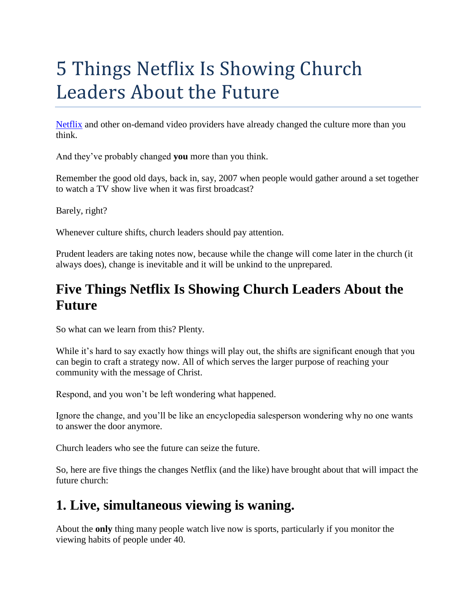# 5 Things Netflix Is Showing Church Leaders About the Future

[Netflix](http://www.netflix.com/) and other on-demand video providers have already changed the culture more than you think.

And they've probably changed **you** more than you think.

Remember the good old days, back in, say, 2007 when people would gather around a set together to watch a TV show live when it was first broadcast?

Barely, right?

Whenever culture shifts, church leaders should pay attention.

Prudent leaders are taking notes now, because while the change will come later in the church (it always does), change is inevitable and it will be unkind to the unprepared.

# **Five Things Netflix Is Showing Church Leaders About the Future**

So what can we learn from this? Plenty.

While it's hard to say exactly how things will play out, the shifts are significant enough that you can begin to craft a strategy now. All of which serves the larger purpose of reaching your community with the message of Christ.

Respond, and you won't be left wondering what happened.

Ignore the change, and you'll be like an encyclopedia salesperson wondering why no one wants to answer the door anymore.

Church leaders who see the future can seize the future.

So, here are five things the changes Netflix (and the like) have brought about that will impact the future church:

# **1. Live, simultaneous viewing is waning.**

About the **only** thing many people watch live now is sports, particularly if you monitor the viewing habits of people under 40.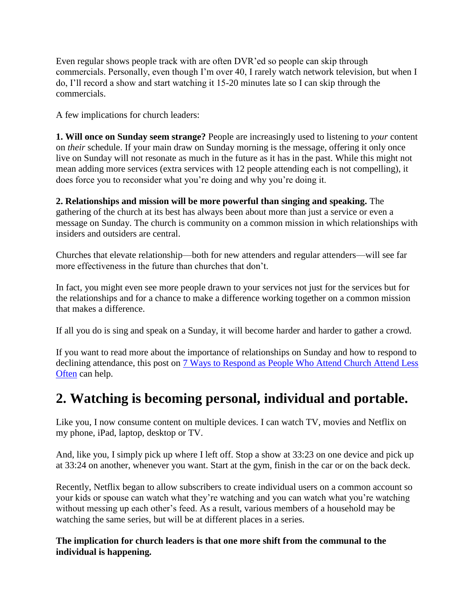Even regular shows people track with are often DVR'ed so people can skip through commercials. Personally, even though I'm over 40, I rarely watch network television, but when I do, I'll record a show and start watching it 15-20 minutes late so I can skip through the commercials.

A few implications for church leaders:

**1. Will once on Sunday seem strange?** People are increasingly used to listening to *your* content on *their* schedule. If your main draw on Sunday morning is the message, offering it only once live on Sunday will not resonate as much in the future as it has in the past. While this might not mean adding more services (extra services with 12 people attending each is not compelling), it does force you to reconsider what you're doing and why you're doing it.

**2. Relationships and mission will be more powerful than singing and speaking.** The gathering of the church at its best has always been about more than just a service or even a message on Sunday. The church is community on a common mission in which relationships with insiders and outsiders are central.

Churches that elevate relationship—both for new attenders and regular attenders—will see far more effectiveness in the future than churches that don't.

In fact, you might even see more people drawn to your services not just for the services but for the relationships and for a chance to make a difference working together on a common mission that makes a difference.

If all you do is sing and speak on a Sunday, it will become harder and harder to gather a crowd.

If you want to read more about the importance of relationships on Sunday and how to respond to declining attendance, this post on [7 Ways to Respond as People Who Attend Church Attend Less](http://careynieuwhof.com/2013/04/7-ways-to-respond-as-people-attend-church-less-often/)  [Often](http://careynieuwhof.com/2013/04/7-ways-to-respond-as-people-attend-church-less-often/) can help.

# **2. Watching is becoming personal, individual and portable.**

Like you, I now consume content on multiple devices. I can watch TV, movies and Netflix on my phone, iPad, laptop, desktop or TV.

And, like you, I simply pick up where I left off. Stop a show at 33:23 on one device and pick up at 33:24 on another, whenever you want. Start at the gym, finish in the car or on the back deck.

Recently, Netflix began to allow subscribers to create individual users on a common account so your kids or spouse can watch what they're watching and you can watch what you're watching without messing up each other's feed. As a result, various members of a household may be watching the same series, but will be at different places in a series.

#### **The implication for church leaders is that one more shift from the communal to the individual is happening.**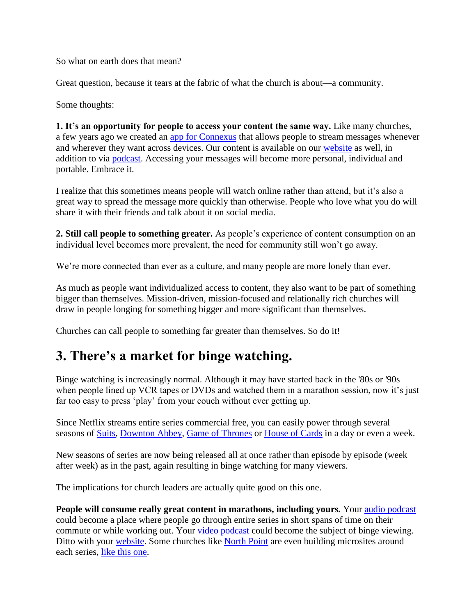So what on earth does that mean?

Great question, because it tears at the fabric of what the church is about—a community.

Some thoughts:

**1. It's an opportunity for people to access your content the same way.** Like many churches, a few years ago we created an [app for Connexus](http://www.connexuscommunity.com/homepage/the-connexus-app/) that allows people to stream messages whenever and wherever they want across devices. Our content is available on our [website](https://www.connexuscommunity.com/watch-online/message-list/) as well, in addition to via [podcast.](https://itunes.apple.com/ca/podcast/connexus-community-church/id271533402?mt=2) Accessing your messages will become more personal, individual and portable. Embrace it.

I realize that this sometimes means people will watch online rather than attend, but it's also a great way to spread the message more quickly than otherwise. People who love what you do will share it with their friends and talk about it on social media.

**2. Still call people to something greater.** As people's experience of content consumption on an individual level becomes more prevalent, the need for community still won't go away.

We're more connected than ever as a culture, and many people are more lonely than ever.

As much as people want individualized access to content, they also want to be part of something bigger than themselves. Mission-driven, mission-focused and relationally rich churches will draw in people longing for something bigger and more significant than themselves.

Churches can call people to something far greater than themselves. So do it!

# **3. There's a market for binge watching.**

Binge watching is increasingly normal. Although it may have started back in the '80s or '90s when people lined up VCR tapes or DVDs and watched them in a marathon session, now it's just far too easy to press 'play' from your couch without ever getting up.

Since Netflix streams entire series commercial free, you can easily power through several seasons of [Suits,](http://www.usanetwork.com/suits) [Downton Abbey,](http://www.itv.com/downtonabbey) [Game of Thrones](http://www.hbo.com/game-of-thrones) or [House of Cards](http://www.imdb.com/title/tt1856010/) in a day or even a week.

New seasons of series are now being released all at once rather than episode by episode (week after week) as in the past, again resulting in binge watching for many viewers.

The implications for church leaders are actually quite good on this one.

**People will consume really great content in marathons, including yours.** Your audio [podcast](https://itunes.apple.com/ca/podcast/connexus-community-church/id271533402?mt=2) could become a place where people go through entire series in short spans of time on their commute or while working out. Your [video podcast](https://itunes.apple.com/ca/podcast/connexus-church-video-podcast/id843290736?mt=2) could become the subject of binge viewing. Ditto with your [website.](https://www.connexuscommunity.com/watch-online/message-list/) Some churches like [North Point](http://northpoint.org/) are even building microsites around each series, [like this one.](http://preparedseries.org/)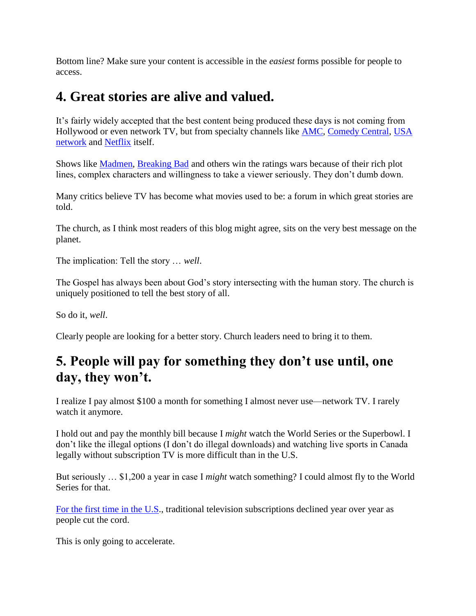Bottom line? Make sure your content is accessible in the *easiest* forms possible for people to access.

### **4. Great stories are alive and valued.**

It's fairly widely accepted that the best content being produced these days is not coming from Hollywood or even network TV, but from specialty channels like **AMC**, [Comedy Central,](http://www.cc.com/) USA [network](http://www.usanetwork.com/) and [Netflix](http://www.netflix.com/) itself.

Shows like [Madmen,](http://www.amctv.com/shows/mad-men) [Breaking Bad](http://www.amctv.com/breaking-bad/videos/spoilers-farewell-to-breaking-bad) and others win the ratings wars because of their rich plot lines, complex characters and willingness to take a viewer seriously. They don't dumb down.

Many critics believe TV has become what movies used to be: a forum in which great stories are told.

The church, as I think most readers of this blog might agree, sits on the very best message on the planet.

The implication: Tell the story … *well*.

The Gospel has always been about God's story intersecting with the human story. The church is uniquely positioned to tell the best story of all.

So do it, *well*.

Clearly people are looking for a better story. Church leaders need to bring it to them.

# **5. People will pay for something they don't use until, one day, they won't.**

I realize I pay almost \$100 a month for something I almost never use—network TV. I rarely watch it anymore.

I hold out and pay the monthly bill because I *might* watch the World Series or the Superbowl. I don't like the illegal options (I don't do illegal downloads) and watching live sports in Canada legally without subscription TV is more difficult than in the U.S.

But seriously … \$1,200 a year in case I *might* watch something? I could almost fly to the World Series for that.

[For the first time in the U.S.](http://www.bloomberg.com/news/2014-03-19/u-s-pay-tv-subscriptions-fall-for-first-time-as-streaming-gains.html), traditional television subscriptions declined year over year as people cut the cord.

This is only going to accelerate.